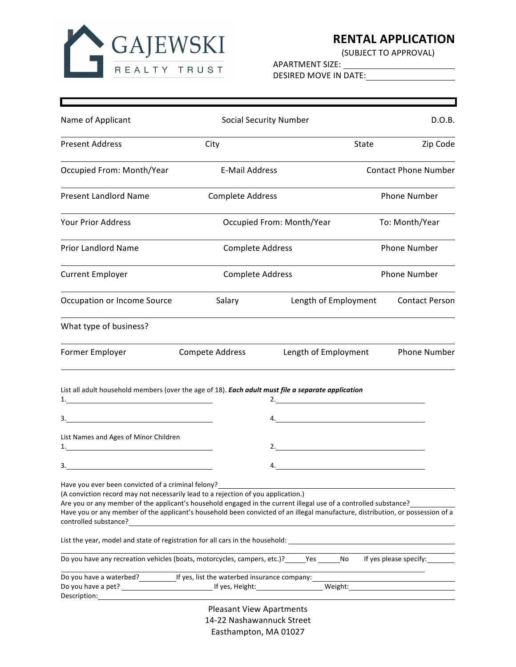

## **RENTAL APPLICATION**<br>(SUBJECT TO APPROVAL)

APARTMENT SIZE: DESIRED MOVE IN DATE:

| Name of Applicant                                                                                                                                                                                                                                                                                                                                                                                                                                |                 | <b>Social Security Number</b>   |                      |       | D.O.B.                      |  |
|--------------------------------------------------------------------------------------------------------------------------------------------------------------------------------------------------------------------------------------------------------------------------------------------------------------------------------------------------------------------------------------------------------------------------------------------------|-----------------|---------------------------------|----------------------|-------|-----------------------------|--|
| <b>Present Address</b>                                                                                                                                                                                                                                                                                                                                                                                                                           | City            |                                 |                      | State | Zip Code                    |  |
| Occupied From: Month/Year                                                                                                                                                                                                                                                                                                                                                                                                                        |                 | <b>E-Mail Address</b>           |                      |       | <b>Contact Phone Number</b> |  |
| <b>Present Landlord Name</b>                                                                                                                                                                                                                                                                                                                                                                                                                     |                 | <b>Complete Address</b>         |                      |       | <b>Phone Number</b>         |  |
| <b>Your Prior Address</b>                                                                                                                                                                                                                                                                                                                                                                                                                        |                 | Occupied From: Month/Year       |                      |       | To: Month/Year              |  |
| <b>Prior Landlord Name</b>                                                                                                                                                                                                                                                                                                                                                                                                                       |                 | <b>Complete Address</b>         |                      |       | <b>Phone Number</b>         |  |
| <b>Current Employer</b>                                                                                                                                                                                                                                                                                                                                                                                                                          |                 | <b>Complete Address</b>         |                      |       | Phone Number                |  |
| Occupation or Income Source                                                                                                                                                                                                                                                                                                                                                                                                                      |                 | Salary                          | Length of Employment |       | <b>Contact Person</b>       |  |
| What type of business?                                                                                                                                                                                                                                                                                                                                                                                                                           |                 |                                 |                      |       |                             |  |
| Former Employer                                                                                                                                                                                                                                                                                                                                                                                                                                  | Compete Address |                                 | Length of Employment |       | Phone Number                |  |
| List all adult household members (over the age of 18). Each adult must file a separate application<br>$\begin{array}{c c c c c c} \hline \rule{0pt}{2ex} & \rule{0pt}{2ex} \multicolumn{3}{c }{\textbf{3.}} \end{array}$                                                                                                                                                                                                                         |                 |                                 | 2.<br>4.             |       |                             |  |
|                                                                                                                                                                                                                                                                                                                                                                                                                                                  |                 |                                 |                      |       |                             |  |
| List Names and Ages of Minor Children<br>$\mathbf{1}$ .                                                                                                                                                                                                                                                                                                                                                                                          |                 |                                 |                      |       |                             |  |
|                                                                                                                                                                                                                                                                                                                                                                                                                                                  |                 |                                 | 4.                   |       |                             |  |
| Have you ever been convicted of a criminal felony?<br>(A conviction record may not necessarily lead to a rejection of you application.)<br>Are you or any member of the applicant's household engaged in the current illegal use of a controlled substance?<br>Have you or any member of the applicant's household been convicted of an illegal manufacture, distribution, or possession of a<br>controlled substance? The controlled substance? |                 |                                 |                      |       |                             |  |
|                                                                                                                                                                                                                                                                                                                                                                                                                                                  |                 |                                 |                      |       |                             |  |
| Do you have any recreation vehicles (boats, motorcycles, campers, etc.)? Yes No                                                                                                                                                                                                                                                                                                                                                                  |                 |                                 |                      |       | If yes please specify:      |  |
|                                                                                                                                                                                                                                                                                                                                                                                                                                                  |                 |                                 |                      |       |                             |  |
|                                                                                                                                                                                                                                                                                                                                                                                                                                                  |                 | <b>Pleasant View Apartments</b> |                      |       |                             |  |
|                                                                                                                                                                                                                                                                                                                                                                                                                                                  |                 | 14-22 Nashawannuck Street       |                      |       |                             |  |
|                                                                                                                                                                                                                                                                                                                                                                                                                                                  |                 | Easthampton, MA 01027           |                      |       |                             |  |